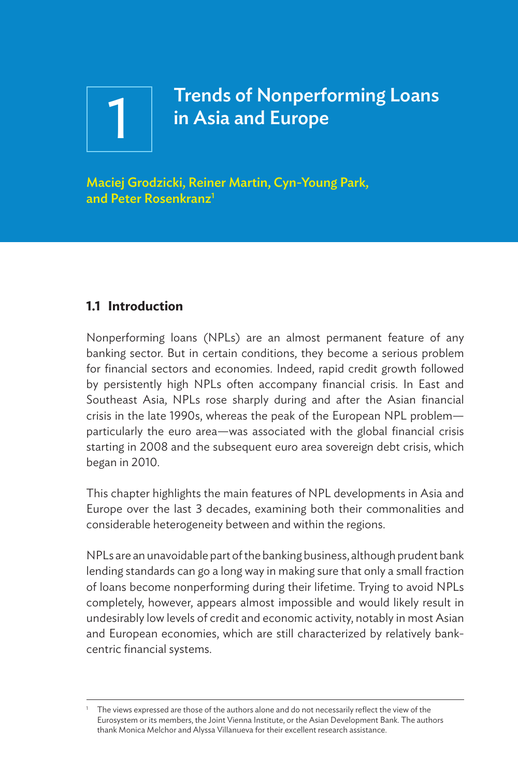1

# Trends of Nonperforming Loans in Asia and Europe

Maciej Grodzicki, Reiner Martin, Cyn-Young Park, and Peter Rosenkranz<sup>1</sup>

# **1.1 Introduction**

Nonperforming loans (NPLs) are an almost permanent feature of any banking sector. But in certain conditions, they become a serious problem for financial sectors and economies. Indeed, rapid credit growth followed by persistently high NPLs often accompany financial crisis. In East and Southeast Asia, NPLs rose sharply during and after the Asian financial crisis in the late 1990s, whereas the peak of the European NPL problem particularly the euro area—was associated with the global financial crisis starting in 2008 and the subsequent euro area sovereign debt crisis, which began in 2010.

This chapter highlights the main features of NPL developments in Asia and Europe over the last 3 decades, examining both their commonalities and considerable heterogeneity between and within the regions.

NPLs are an unavoidable part of the banking business, although prudent bank lending standards can go a long way in making sure that only a small fraction of loans become nonperforming during their lifetime. Trying to avoid NPLs completely, however, appears almost impossible and would likely result in undesirably low levels of credit and economic activity, notably in most Asian and European economies, which are still characterized by relatively bankcentric financial systems.

The views expressed are those of the authors alone and do not necessarily reflect the view of the Eurosystem or its members, the Joint Vienna Institute, or the Asian Development Bank. The authors thank Monica Melchor and Alyssa Villanueva for their excellent research assistance.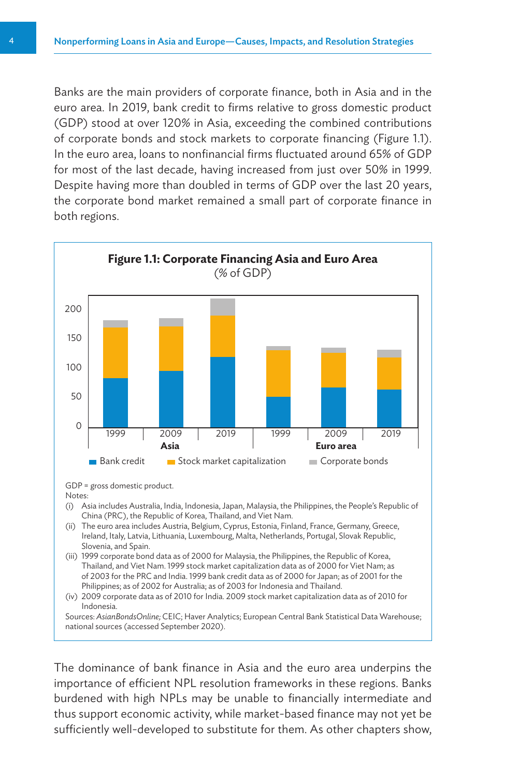Banks are the main providers of corporate finance, both in Asia and in the euro area. In 2019, bank credit to firms relative to gross domestic product (GDP) stood at over 120% in Asia, exceeding the combined contributions of corporate bonds and stock markets to corporate financing (Figure 1.1). In the euro area, loans to nonfinancial firms fluctuated around 65% of GDP for most of the last decade, having increased from just over 50% in 1999. Despite having more than doubled in terms of GDP over the last 20 years, the corporate bond market remained a small part of corporate finance in both regions.



The dominance of bank finance in Asia and the euro area underpins the importance of efficient NPL resolution frameworks in these regions. Banks burdened with high NPLs may be unable to financially intermediate and thus support economic activity, while market-based finance may not yet be sufficiently well-developed to substitute for them. As other chapters show,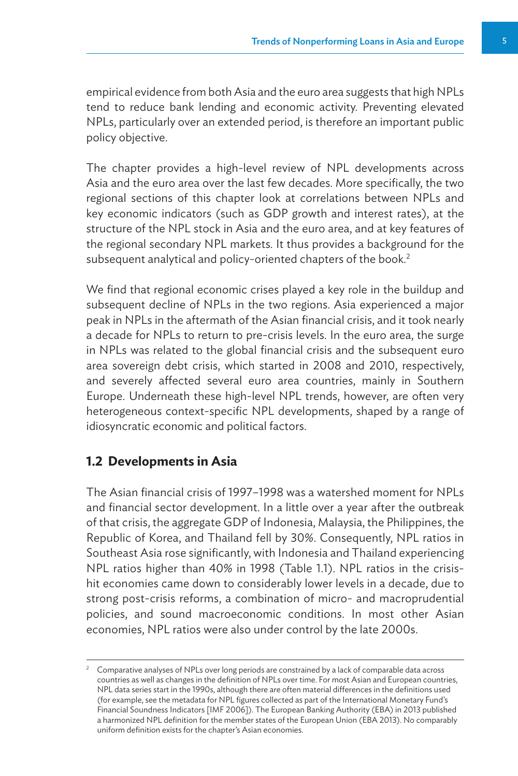empirical evidence from both Asia and the euro area suggests that high NPLs tend to reduce bank lending and economic activity. Preventing elevated NPLs, particularly over an extended period, is therefore an important public policy objective.

The chapter provides a high-level review of NPL developments across Asia and the euro area over the last few decades. More specifically, the two regional sections of this chapter look at correlations between NPLs and key economic indicators (such as GDP growth and interest rates), at the structure of the NPL stock in Asia and the euro area, and at key features of the regional secondary NPL markets. It thus provides a background for the subsequent analytical and policy-oriented chapters of the book.<sup>2</sup>

We find that regional economic crises played a key role in the buildup and subsequent decline of NPLs in the two regions. Asia experienced a major peak in NPLs in the aftermath of the Asian financial crisis, and it took nearly a decade for NPLs to return to pre-crisis levels. In the euro area, the surge in NPLs was related to the global financial crisis and the subsequent euro area sovereign debt crisis, which started in 2008 and 2010, respectively, and severely affected several euro area countries, mainly in Southern Europe. Underneath these high-level NPL trends, however, are often very heterogeneous context-specific NPL developments, shaped by a range of idiosyncratic economic and political factors.

# **1.2 Developments in Asia**

The Asian financial crisis of 1997–1998 was a watershed moment for NPLs and financial sector development. In a little over a year after the outbreak of that crisis, the aggregate GDP of Indonesia, Malaysia, the Philippines, the Republic of Korea, and Thailand fell by 30%. Consequently, NPL ratios in Southeast Asia rose significantly, with Indonesia and Thailand experiencing NPL ratios higher than 40% in 1998 (Table 1.1). NPL ratios in the crisishit economies came down to considerably lower levels in a decade, due to strong post-crisis reforms, a combination of micro- and macroprudential policies, and sound macroeconomic conditions. In most other Asian economies, NPL ratios were also under control by the late 2000s.

 $2^{\circ}$  Comparative analyses of NPLs over long periods are constrained by a lack of comparable data across countries as well as changes in the definition of NPLs over time. For most Asian and European countries, NPL data series start in the 1990s, although there are often material differences in the definitions used (for example, see the metadata for NPL figures collected as part of the International Monetary Fund's Financial Soundness Indicators [IMF 2006]). The European Banking Authority (EBA) in 2013 published a harmonized NPL definition for the member states of the European Union (EBA 2013). No comparably uniform definition exists for the chapter's Asian economies.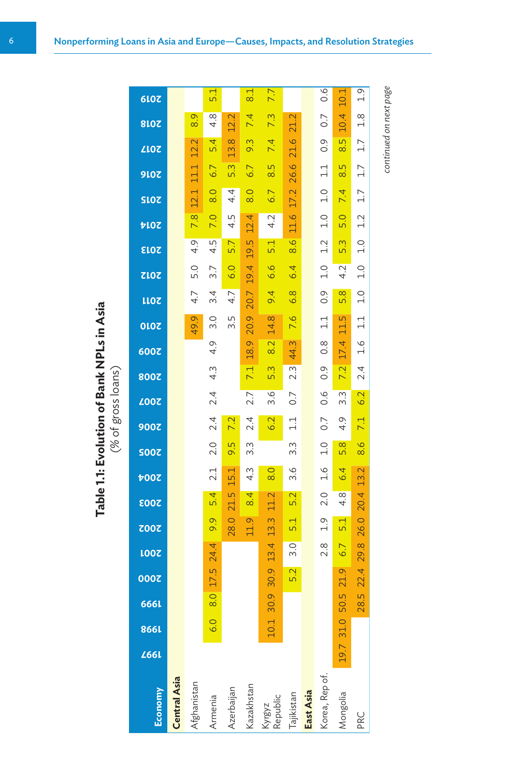Table 1.1: Evolution of Bank NPLs in Asia $(\%$  of  $\operatorname{gros}$  loans) **Table 1.1: Evolution of Bank NPLs in Asia** (% of gross loans)

| <b>610Z</b> |                     |               | 5.1               |                                             | $\frac{1}{8}$ | 7.7                |                  |           | 0.6              | 10.1          | $\frac{1}{2}$ |                        |
|-------------|---------------------|---------------|-------------------|---------------------------------------------|---------------|--------------------|------------------|-----------|------------------|---------------|---------------|------------------------|
| <b>810Z</b> |                     | $\frac{8}{8}$ | 4.8               | $\overline{\mathsf{C}}$<br>$\overline{2}$ . | 7.4           | 7.3                | 21.2             |           | 0.7              | 10.4          | $\frac{8}{1}$ | continued on next page |
| <b>ZLOZ</b> |                     | 12.2          | 5.4               | 13.8                                        | 9.3           | 7.4                | 21.6             |           | 0.9              | $\frac{5}{8}$ | $\frac{1}{1}$ |                        |
| <b>910Z</b> |                     | 11.1          | 6.7               | 5.3                                         | 6.7           | 8.5                | 26.6             |           | $\frac{1}{1}$    | $\frac{5}{8}$ | 1.7           |                        |
| SLOZ        |                     | 12.1          | 8.0               | 4.4                                         | $\frac{0}{8}$ | 6.7                | 17.2             |           | $\frac{0}{1}$    | 7.4           | 1.7           |                        |
| <b>VIOZ</b> |                     | 7.8           | 7.0               | 4.5                                         | 12.4          | 4.2                | 11.6             |           | $\frac{0}{1}$    | 5.0           | 1.2           |                        |
| <b>STOS</b> |                     | 4.9           | 4.5               | 5.7                                         | 19.5          | 5.1                | $\overline{8.6}$ |           | 1.2              | 5.3           | $\frac{0}{1}$ |                        |
| <b>ZLOZ</b> |                     | 5.0           | 3.7               | 6.0                                         | 19.4          | 6.6                | 6.4              |           | $\frac{0}{1}$    | 4.2           | 1.0           |                        |
| LLOZ        |                     | 4.7           | $\frac{3}{4}$     | 4.7                                         | 20.7          | 9.4                | 6.8              |           | $\overline{0}$ . | 5.8           | $\frac{0}{1}$ |                        |
| OLOZ        |                     | 49.9          | 3.0               | 3.5                                         | 20.9          | 14.8               | 7.6              |           | $\Xi$            | 11.5          | $\Xi$         |                        |
| 600Z        |                     |               | 4.9               |                                             | 18.9          | 8.2                | 44.3             |           | $\frac{8}{2}$    | 17.4          | $\frac{6}{1}$ |                        |
| 800Z        |                     |               | $4.\overline{3}$  |                                             | 7.1           | 5.3                | $2.\overline{3}$ |           | $\overline{0}$ . | 7.2           | 2.4           |                        |
| <b>Z00Z</b> |                     |               | 2.4               |                                             | 2.7           | 3.6                | $\sim$           |           | 0.6              | 3.3           | 6.2           |                        |
| 900Z        |                     |               | 2.4               | 7.2                                         | 2.4           | 6.2                | $\frac{1}{11}$   |           | $\overline{0}$ . | 4.9           | 7.1           |                        |
| <b>SO07</b> |                     |               | 2.0               | 5<br>்                                      | 3.3           |                    | 3.3              |           | $\frac{0}{1}$    | 5.8           | 8.6           |                        |
| <b>7007</b> |                     |               | 2.1               | ٣<br>15.                                    | 4.3           | 8.0                | 3.6              |           | $\frac{6}{1}$    | 6.4           | 13.2          |                        |
| <b>2003</b> |                     |               | 5.4               | 21.5                                        | 8.4           | 11.2               | 5.2              |           | 2.0              | $\frac{4}{3}$ | 20.4          |                        |
| <b>ZOOZ</b> |                     |               | 9.9               | 28.0                                        | 11.9          | 13.3               | 5.1              |           | $\frac{9}{1}$    | 5.1           | 26.0          |                        |
| <b>LOOZ</b> |                     |               | 24.4              |                                             |               | 13.4               | 3.0              |           | $\frac{8}{2}$ .  | 6.7           | 29.8          |                        |
| <b>000Z</b> |                     |               | 17.5              |                                             |               | 30.9               | 5.2              |           |                  | 21.9          | 22.4          |                        |
| 666L        |                     |               | $\overline{8}$ .0 |                                             |               | 30.9               |                  |           |                  | 50.5          | 28.5          |                        |
| 866L        |                     |               | 6.0               |                                             |               | 10.1               |                  |           |                  |               |               |                        |
| 266L        |                     |               |                   |                                             |               |                    |                  |           |                  | 19.7 31.0     |               |                        |
| Economy     | <b>Central Asia</b> | Afghanistan   | Armenia           | Azerbaijan                                  | Kazakhstan    | Kyrgyz<br>Republic | Tajikistan       | East Asia | Korea, Rep of.   | Mongolia      | PRC           |                        |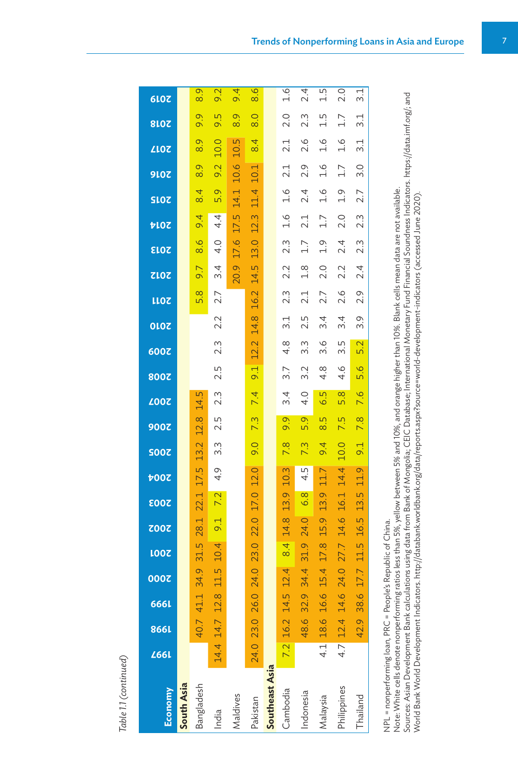Table 1.1 (continued) *Table 1.1 (continued)*

| Economy           | <b>Z66L</b> | 866L      | 666L | 0007 | <b>1007</b> | <b>ZOOZ</b> | <b>2003</b> | <b>7007</b> | <b>SO07</b> | 900 <b>Z</b> | <b>Z00Z</b>   | 800Z             | 600Z             | OLOZ          | LLOZ             | <b>ZLOZ</b>   | <b>STOS</b>      | <b>PLOZ</b>   | SLOZ          | <b>910Z</b>   | <b>ZLOZ</b>     | <b>810Z</b>   | <b>610Z</b>      |
|-------------------|-------------|-----------|------|------|-------------|-------------|-------------|-------------|-------------|--------------|---------------|------------------|------------------|---------------|------------------|---------------|------------------|---------------|---------------|---------------|-----------------|---------------|------------------|
| <b>South Asia</b> |             |           |      |      |             |             |             |             |             |              |               |                  |                  |               |                  |               |                  |               |               |               |                 |               |                  |
| Bangladesh        |             | 40.7      | 41.1 | 34.9 | 31.5        | 28.1        | 22.1        | 17.5        | 13.2        | 12.8         | 14.5          |                  |                  |               | 5.8              | 9.7           | $\frac{8}{6}$    | 9.4           | 8.4           | $\frac{8}{8}$ | $\frac{8.9}{8}$ | 9.9           | $\overline{8.9}$ |
| India             | 14.4 14.7   |           | 12.8 | 11.5 | 10.4        | 9.1         | 7.2         | 4.9         | 3.3         | 2.5          | 2.3           | 2.5              | $2.\overline{3}$ | 2.2           | 2.7              | 3.4           | 4.0              | 4.4           | 5.9           | 9.2           | 10.0            | 9.5           | 9.2              |
| Maldives          |             |           |      |      |             |             |             |             |             |              |               |                  |                  |               |                  | 20.9          | 17.6             | 17.5          | 14.1          | 10.6          | 10.5            | $\frac{8}{8}$ | $\overline{9.4}$ |
| Pakistan          |             | 24.0 23.0 | 26.0 | 24.0 | 23.0        | 22.0        | 17.0        | 12.0        | 0.6         | 7.3          | 7.4           | 9.1              | 12.2             | 14.8          | 16.2             | 14.5          | 13.0             | 12.3          | 11.4          | 10.1          | 8.4             | $\frac{0}{8}$ | $\overline{8.6}$ |
| Southeast Asia    |             |           |      |      |             |             |             |             |             |              |               |                  |                  |               |                  |               |                  |               |               |               |                 |               |                  |
| Cambodia          |             | 7.2 16.2  | 14.5 | 12.4 | 8.4         | 14.8        | 13.9        | 10.3        | 7.8         | 9.9          | $\frac{3}{4}$ | $\overline{3.7}$ | $4.\overline{8}$ | $\frac{1}{3}$ | $2.\overline{3}$ | 2.2           | $2.\overline{3}$ | $\frac{6}{1}$ | 1.6           | 2.1           | 2.1             | 2.0           | $\frac{6}{1}$    |
| ndonesia          |             | 48.6      | 32.9 | 34.4 | 31.9        | 24.0        | 6.8         | 4.5         | 7.3         | 5.9          | 4.0           | 3.2              | 3.3              | 2.5           | 2.1              | $\frac{8}{1}$ | 1.7              | 2.1           | 2.4           | 2.9           | 2.6             | 2.3           | $\frac{4}{2}$    |
| Malaysia          |             | 4.1 18.6  | 16.6 | 15.4 | 17.8        | 15.9        | 13.9        | 11.7        | 9.4         | 8.5          | 6.5           | $4.\overline{8}$ | 3.6              | 3.4           | 2.7              | 2.0           | $\frac{1}{2}$    | 1.7           | $\frac{6}{1}$ | $\frac{6}{1}$ | $\frac{6}{1}$   | $\frac{1}{1}$ | LN<br>H          |
| Philippines       |             | 4.7 12.4  | 14.6 | 24.0 | 27.7        | 14.6        | 16.1        | 14.4        | 10.0        | 7.5          | 5.8           | 4.6              | 3.5              | 3.4           | 2.6              | 2.2           | 2.4              | 2.0           | $\frac{1}{2}$ | 1.7           | $\frac{6}{1}$   | 1.7           | 2.0              |
| Thailand          |             | 42.9      | 38.6 | 17.7 | 11.5        | <b>16.5</b> | 13.5        | 11.9        | 9.1         | 7.8          | 7.6           | 5.6              | 5.2              | 3.9           | 2.9              | 2.4           | 2.3              | 2.3           | 2.7           | $\frac{3}{2}$ | $\frac{1}{3}$   | $\frac{1}{3}$ | $\frac{1}{3}$    |
|                   |             | í         |      |      |             |             |             |             |             |              |               |                  |                  |               |                  |               |                  |               |               |               |                 |               |                  |

NPL = nonperforming loan, PRC = People's Republic of China. NPL = nonperforming loan, PRC = People's Republic of China.

Sources: Asian Development Bank calculations using data from Bank of Mongolia; CEIC Database; International Monetary Fund Financial Soundness Indicators. https://data.imf.org/; and<br>World Bank World Development Indicators. Sources: Asian Development Bank calculations using data from Bank of Mongolia; CEIC Database; International Monetary Fund Financial Soundness Indicators. https://data.imf.org/; and Note: White cells denote nomperforming ratios less than 5%, yellow between 5% and 10%, and orange higher than 10%. Blank cells mean data are not available. Note: White cells denote nonperforming ratios less than 5%, yellow between 5% and 10%, and orange higher than 10%. Blank cells mean data are not available. World Bank World Development Indicators. http://databank.worldbank.org/data/reports.aspx?source=world-development-indicators (accessed June 2020).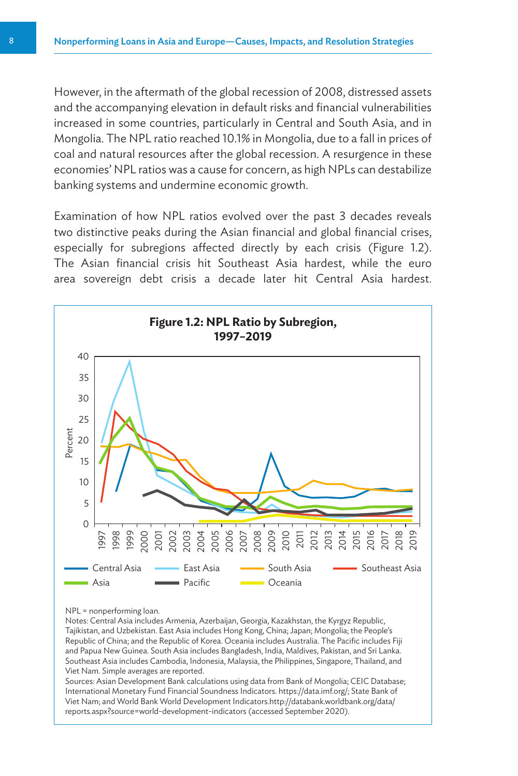However, in the aftermath of the global recession of 2008, distressed assets and the accompanying elevation in default risks and financial vulnerabilities increased in some countries, particularly in Central and South Asia, and in Mongolia. The NPL ratio reached 10.1% in Mongolia, due to a fall in prices of coal and natural resources after the global recession. A resurgence in these economies' NPL ratios was a cause for concern, as high NPLs can destabilize banking systems and undermine economic growth.

Examination of how NPL ratios evolved over the past 3 decades reveals two distinctive peaks during the Asian financial and global financial crises, especially for subregions affected directly by each crisis (Figure 1.2). The Asian financial crisis hit Southeast Asia hardest, while the euro area sovereign debt crisis a decade later hit Central Asia hardest.



#### NPL = nonperforming loan.

Notes: Central Asia includes Armenia, Azerbaijan, Georgia, Kazakhstan, the Kyrgyz Republic, Tajikistan, and Uzbekistan. East Asia includes Hong Kong, China; Japan; Mongolia; the People's Republic of China; and the Republic of Korea. Oceania includes Australia. The Pacific includes Fiji and Papua New Guinea. South Asia includes Bangladesh, India, Maldives, Pakistan, and Sri Lanka. Southeast Asia includes Cambodia, Indonesia, Malaysia, the Philippines, Singapore, Thailand, and Viet Nam. Simple averages are reported.

Sources: Asian Development Bank calculations using data from Bank of Mongolia; CEIC Database; International Monetary Fund Financial Soundness Indicators. https://data.imf.org/; State Bank of Viet Nam; and World Bank World Development Indicators.http://databank.worldbank.org/data/ reports.aspx?source=world-development-indicators (accessed September 2020).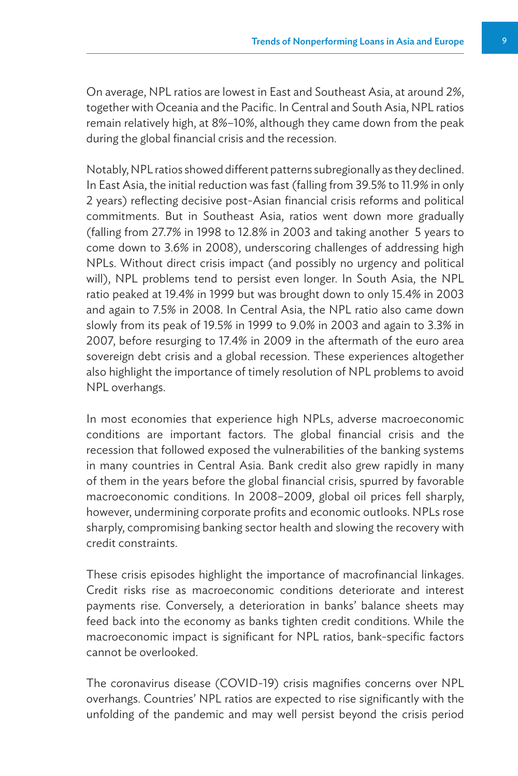On average, NPL ratios are lowest in East and Southeast Asia, at around 2%, together with Oceania and the Pacific. In Central and South Asia, NPL ratios remain relatively high, at 8%–10%, although they came down from the peak during the global financial crisis and the recession.

Notably, NPL ratios showed different patterns subregionally as they declined. In East Asia, the initial reduction was fast (falling from 39.5% to 11.9% in only 2 years) reflecting decisive post-Asian financial crisis reforms and political commitments. But in Southeast Asia, ratios went down more gradually (falling from 27.7% in 1998 to 12.8% in 2003 and taking another 5 years to come down to 3.6% in 2008), underscoring challenges of addressing high NPLs. Without direct crisis impact (and possibly no urgency and political will), NPL problems tend to persist even longer. In South Asia, the NPL ratio peaked at 19.4% in 1999 but was brought down to only 15.4% in 2003 and again to 7.5% in 2008. In Central Asia, the NPL ratio also came down slowly from its peak of 19.5% in 1999 to 9.0% in 2003 and again to 3.3% in 2007, before resurging to 17.4% in 2009 in the aftermath of the euro area sovereign debt crisis and a global recession. These experiences altogether also highlight the importance of timely resolution of NPL problems to avoid NPL overhangs.

In most economies that experience high NPLs, adverse macroeconomic conditions are important factors. The global financial crisis and the recession that followed exposed the vulnerabilities of the banking systems in many countries in Central Asia. Bank credit also grew rapidly in many of them in the years before the global financial crisis, spurred by favorable macroeconomic conditions. In 2008–2009, global oil prices fell sharply, however, undermining corporate profits and economic outlooks. NPLs rose sharply, compromising banking sector health and slowing the recovery with credit constraints.

These crisis episodes highlight the importance of macrofinancial linkages. Credit risks rise as macroeconomic conditions deteriorate and interest payments rise. Conversely, a deterioration in banks' balance sheets may feed back into the economy as banks tighten credit conditions. While the macroeconomic impact is significant for NPL ratios, bank-specific factors cannot be overlooked.

The coronavirus disease (COVID-19) crisis magnifies concerns over NPL overhangs. Countries' NPL ratios are expected to rise significantly with the unfolding of the pandemic and may well persist beyond the crisis period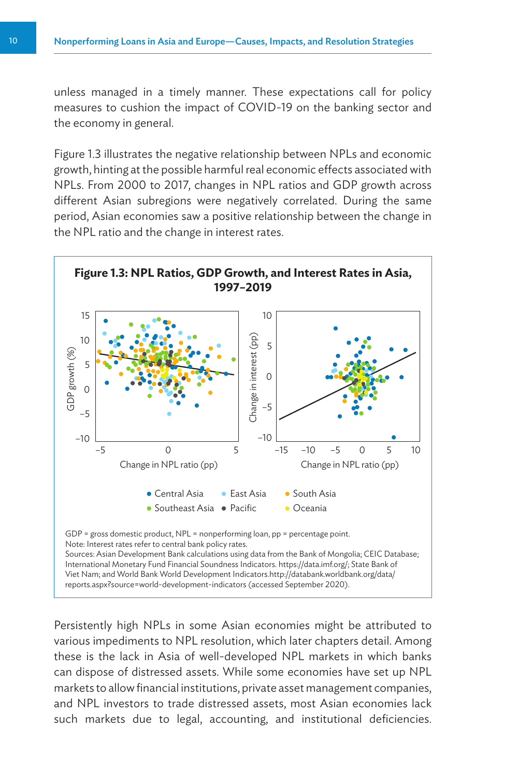unless managed in a timely manner. These expectations call for policy measures to cushion the impact of COVID-19 on the banking sector and the economy in general.

Figure 1.3 illustrates the negative relationship between NPLs and economic growth, hinting at the possible harmful real economic effects associated with NPLs. From 2000 to 2017, changes in NPL ratios and GDP growth across different Asian subregions were negatively correlated. During the same period, Asian economies saw a positive relationship between the change in the NPL ratio and the change in interest rates.



Persistently high NPLs in some Asian economies might be attributed to various impediments to NPL resolution, which later chapters detail. Among these is the lack in Asia of well-developed NPL markets in which banks can dispose of distressed assets. While some economies have set up NPL markets to allow financial institutions, private asset management companies, and NPL investors to trade distressed assets, most Asian economies lack such markets due to legal, accounting, and institutional deficiencies.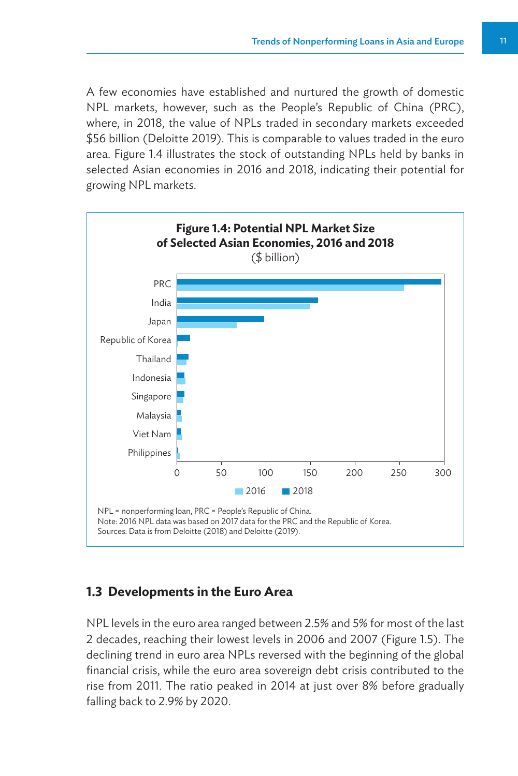A few economies have established and nurtured the growth of domestic NPL markets, however, such as the People's Republic of China (PRC), where, in 2018, the value of NPLs traded in secondary markets exceeded \$56 billion (Deloitte 2019). This is comparable to values traded in the euro area. Figure 1.4 illustrates the stock of outstanding NPLs held by banks in selected Asian economies in 2016 and 2018, indicating their potential for growing NPL markets.



### **1.3 Developments in the Euro Area**

NPL levels in the euro area ranged between 2.5% and 5% for most of the last 2 decades, reaching their lowest levels in 2006 and 2007 (Figure 1.5). The declining trend in euro area NPLs reversed with the beginning of the global financial crisis, while the euro area sovereign debt crisis contributed to the rise from 2011. The ratio peaked in 2014 at just over 8% before gradually falling back to 2.9% by 2020.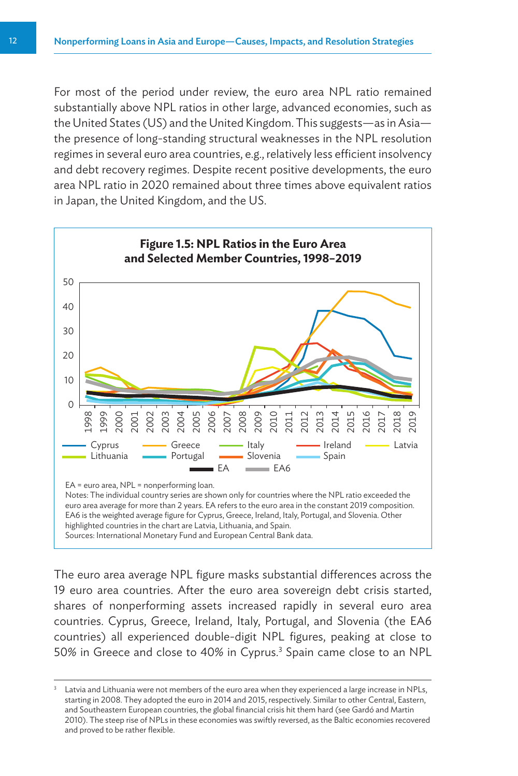For most of the period under review, the euro area NPL ratio remained substantially above NPL ratios in other large, advanced economies, such as the United States (US) and the United Kingdom. This suggests—as in Asia the presence of long-standing structural weaknesses in the NPL resolution regimes in several euro area countries, e.g., relatively less efficient insolvency and debt recovery regimes. Despite recent positive developments, the euro area NPL ratio in 2020 remained about three times above equivalent ratios in Japan, the United Kingdom, and the US.



The euro area average NPL figure masks substantial differences across the 19 euro area countries. After the euro area sovereign debt crisis started, shares of nonperforming assets increased rapidly in several euro area countries. Cyprus, Greece, Ireland, Italy, Portugal, and Slovenia (the EA6 countries) all experienced double-digit NPL figures, peaking at close to 50% in Greece and close to 40% in Cyprus.<sup>3</sup> Spain came close to an NPL

Latvia and Lithuania were not members of the euro area when they experienced a large increase in NPLs, starting in 2008. They adopted the euro in 2014 and 2015, respectively. Similar to other Central, Eastern, and Southeastern European countries, the global financial crisis hit them hard (see Gardó and Martin 2010). The steep rise of NPLs in these economies was swiftly reversed, as the Baltic economies recovered and proved to be rather flexible.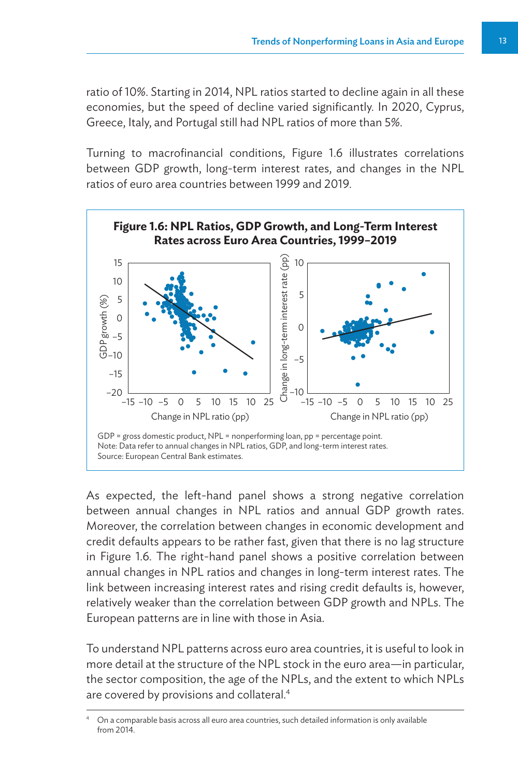ratio of 10%. Starting in 2014, NPL ratios started to decline again in all these economies, but the speed of decline varied significantly. In 2020, Cyprus, Greece, Italy, and Portugal still had NPL ratios of more than 5%.

Turning to macrofinancial conditions, Figure 1.6 illustrates correlations between GDP growth, long-term interest rates, and changes in the NPL ratios of euro area countries between 1999 and 2019.



As expected, the left-hand panel shows a strong negative correlation between annual changes in NPL ratios and annual GDP growth rates. Moreover, the correlation between changes in economic development and credit defaults appears to be rather fast, given that there is no lag structure in Figure 1.6. The right-hand panel shows a positive correlation between annual changes in NPL ratios and changes in long-term interest rates. The link between increasing interest rates and rising credit defaults is, however, relatively weaker than the correlation between GDP growth and NPLs. The European patterns are in line with those in Asia.

To understand NPL patterns across euro area countries, it is useful to look in more detail at the structure of the NPL stock in the euro area—in particular, the sector composition, the age of the NPLs, and the extent to which NPLs are covered by provisions and collateral.<sup>4</sup>

On a comparable basis across all euro area countries, such detailed information is only available from 2014.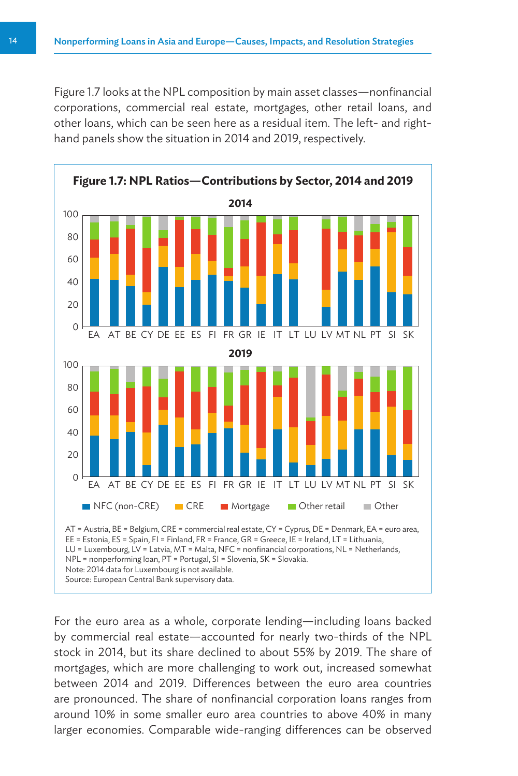Figure 1.7 looks at the NPL composition by main asset classes—nonfinancial corporations, commercial real estate, mortgages, other retail loans, and other loans, which can be seen here as a residual item. The left- and righthand panels show the situation in 2014 and 2019, respectively.



For the euro area as a whole, corporate lending—including loans backed by commercial real estate—accounted for nearly two-thirds of the NPL stock in 2014, but its share declined to about 55% by 2019. The share of mortgages, which are more challenging to work out, increased somewhat between 2014 and 2019. Differences between the euro area countries are pronounced. The share of nonfinancial corporation loans ranges from around 10% in some smaller euro area countries to above 40% in many larger economies. Comparable wide-ranging differences can be observed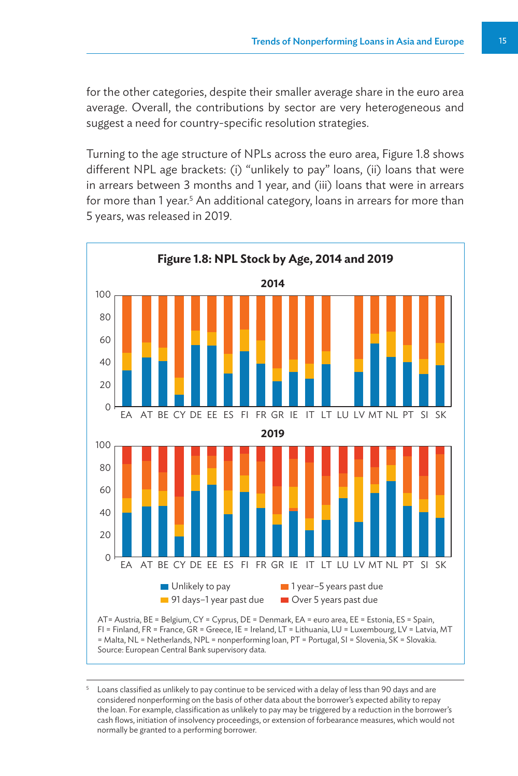for the other categories, despite their smaller average share in the euro area average. Overall, the contributions by sector are very heterogeneous and suggest a need for country-specific resolution strategies.

Turning to the age structure of NPLs across the euro area, Figure 1.8 shows different NPL age brackets: (i) "unlikely to pay" loans, (ii) loans that were in arrears between 3 months and 1 year, and (iii) loans that were in arrears for more than 1 year.<sup>5</sup> An additional category, loans in arrears for more than 5 years, was released in 2019.



= Malta, NL = Netherlands, NPL = nonperforming loan, PT = Portugal, SI = Slovenia, SK = Slovakia. Source: European Central Bank supervisory data.

<sup>5</sup> Loans classified as unlikely to pay continue to be serviced with a delay of less than 90 days and are considered nonperforming on the basis of other data about the borrower's expected ability to repay the loan. For example, classification as unlikely to pay may be triggered by a reduction in the borrower's cash flows, initiation of insolvency proceedings, or extension of forbearance measures, which would not normally be granted to a performing borrower.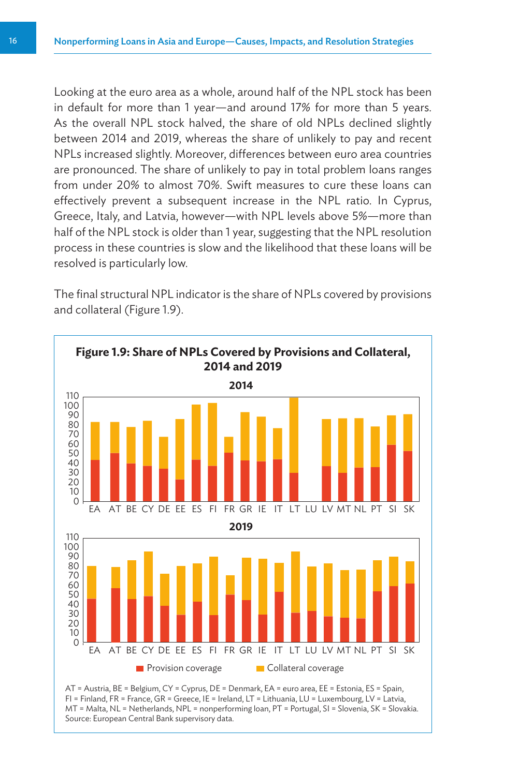Looking at the euro area as a whole, around half of the NPL stock has been in default for more than 1 year—and around 17% for more than 5 years. As the overall NPL stock halved, the share of old NPLs declined slightly between 2014 and 2019, whereas the share of unlikely to pay and recent NPLs increased slightly. Moreover, differences between euro area countries are pronounced. The share of unlikely to pay in total problem loans ranges from under 20% to almost 70%. Swift measures to cure these loans can effectively prevent a subsequent increase in the NPL ratio. In Cyprus, Greece, Italy, and Latvia, however—with NPL levels above 5%—more than half of the NPL stock is older than 1 year, suggesting that the NPL resolution process in these countries is slow and the likelihood that these loans will be resolved is particularly low.

The final structural NPL indicator is the share of NPLs covered by provisions and collateral (Figure 1.9).

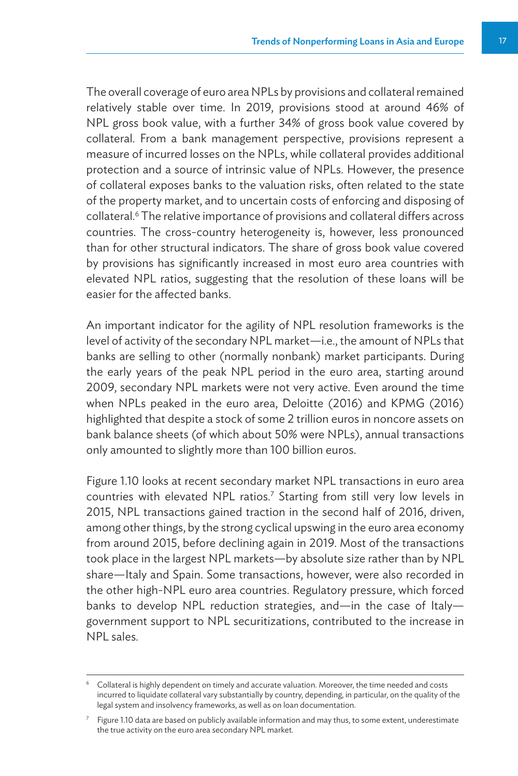The overall coverage of euro area NPLs by provisions and collateral remained relatively stable over time. In 2019, provisions stood at around 46% of NPL gross book value, with a further 34% of gross book value covered by collateral. From a bank management perspective, provisions represent a measure of incurred losses on the NPLs, while collateral provides additional protection and a source of intrinsic value of NPLs. However, the presence of collateral exposes banks to the valuation risks, often related to the state of the property market, and to uncertain costs of enforcing and disposing of collateral.<sup>6</sup> The relative importance of provisions and collateral differs across countries. The cross-country heterogeneity is, however, less pronounced than for other structural indicators. The share of gross book value covered by provisions has significantly increased in most euro area countries with elevated NPL ratios, suggesting that the resolution of these loans will be easier for the affected banks.

An important indicator for the agility of NPL resolution frameworks is the level of activity of the secondary NPL market—i.e., the amount of NPLs that banks are selling to other (normally nonbank) market participants. During the early years of the peak NPL period in the euro area, starting around 2009, secondary NPL markets were not very active. Even around the time when NPLs peaked in the euro area, Deloitte (2016) and KPMG (2016) highlighted that despite a stock of some 2 trillion euros in noncore assets on bank balance sheets (of which about 50% were NPLs), annual transactions only amounted to slightly more than 100 billion euros.

Figure 1.10 looks at recent secondary market NPL transactions in euro area countries with elevated NPL ratios.<sup>7</sup> Starting from still very low levels in 2015, NPL transactions gained traction in the second half of 2016, driven, among other things, by the strong cyclical upswing in the euro area economy from around 2015, before declining again in 2019. Most of the transactions took place in the largest NPL markets—by absolute size rather than by NPL share—Italy and Spain. Some transactions, however, were also recorded in the other high-NPL euro area countries. Regulatory pressure, which forced banks to develop NPL reduction strategies, and—in the case of Italy government support to NPL securitizations, contributed to the increase in NPL sales.

<sup>6</sup> Collateral is highly dependent on timely and accurate valuation. Moreover, the time needed and costs incurred to liquidate collateral vary substantially by country, depending, in particular, on the quality of the legal system and insolvency frameworks, as well as on loan documentation.

 $7$  Figure 1.10 data are based on publicly available information and may thus, to some extent, underestimate the true activity on the euro area secondary NPL market.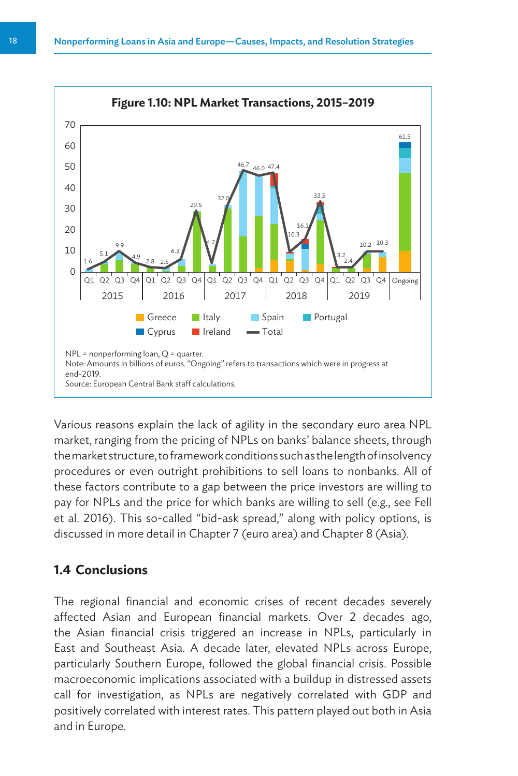

Various reasons explain the lack of agility in the secondary euro area NPL market, ranging from the pricing of NPLs on banks' balance sheets, through the market structure, to framework conditions such as the length of insolvency procedures or even outright prohibitions to sell loans to nonbanks. All of these factors contribute to a gap between the price investors are willing to pay for NPLs and the price for which banks are willing to sell (e.g., see Fell et al. 2016). This so-called "bid-ask spread," along with policy options, is discussed in more detail in Chapter 7 (euro area) and Chapter 8 (Asia).

# **1.4 Conclusions**

The regional financial and economic crises of recent decades severely affected Asian and European financial markets. Over 2 decades ago, the Asian financial crisis triggered an increase in NPLs, particularly in East and Southeast Asia. A decade later, elevated NPLs across Europe, particularly Southern Europe, followed the global financial crisis. Possible macroeconomic implications associated with a buildup in distressed assets call for investigation, as NPLs are negatively correlated with GDP and positively correlated with interest rates. This pattern played out both in Asia and in Europe.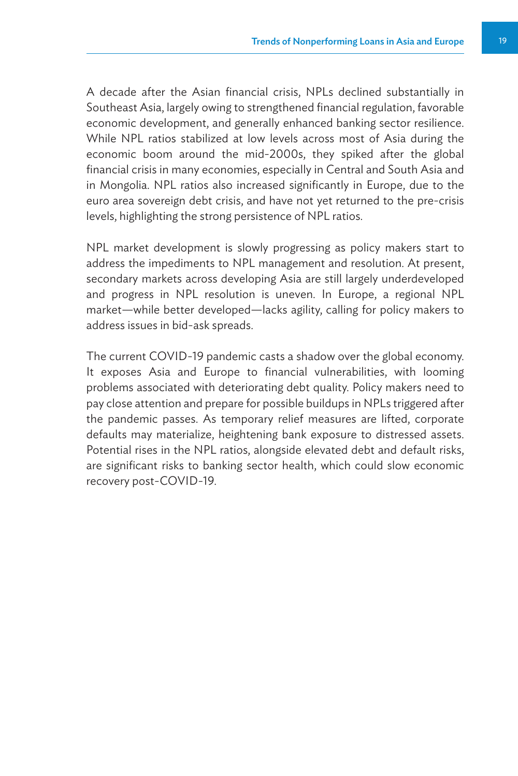A decade after the Asian financial crisis, NPLs declined substantially in Southeast Asia, largely owing to strengthened financial regulation, favorable economic development, and generally enhanced banking sector resilience. While NPL ratios stabilized at low levels across most of Asia during the economic boom around the mid-2000s, they spiked after the global financial crisis in many economies, especially in Central and South Asia and in Mongolia. NPL ratios also increased significantly in Europe, due to the euro area sovereign debt crisis, and have not yet returned to the pre-crisis levels, highlighting the strong persistence of NPL ratios.

NPL market development is slowly progressing as policy makers start to address the impediments to NPL management and resolution. At present, secondary markets across developing Asia are still largely underdeveloped and progress in NPL resolution is uneven. In Europe, a regional NPL market—while better developed—lacks agility, calling for policy makers to address issues in bid-ask spreads.

The current COVID-19 pandemic casts a shadow over the global economy. It exposes Asia and Europe to financial vulnerabilities, with looming problems associated with deteriorating debt quality. Policy makers need to pay close attention and prepare for possible buildups in NPLs triggered after the pandemic passes. As temporary relief measures are lifted, corporate defaults may materialize, heightening bank exposure to distressed assets. Potential rises in the NPL ratios, alongside elevated debt and default risks, are significant risks to banking sector health, which could slow economic recovery post-COVID-19.